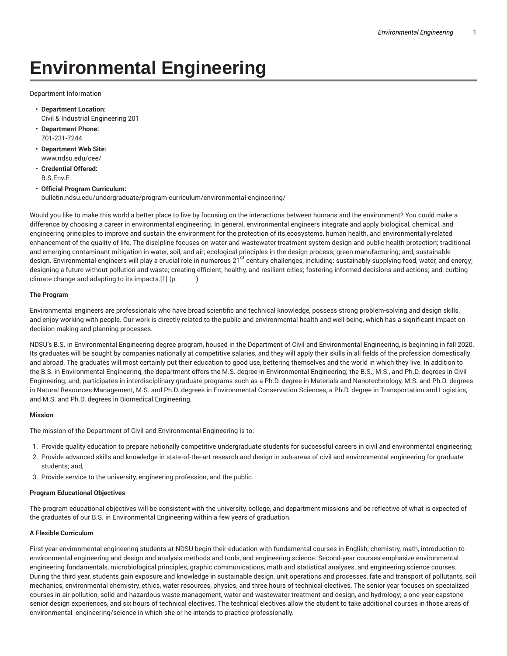# **Environmental Engineering**

Department Information

- **Department Location:** Civil & Industrial Engineering 201
- **Department Phone:** 701-231-7244
- **Department Web Site:** www.ndsu.edu/cee/
- **Credential Offered:** B.S.Env.E.
- **Official Program Curriculum:** bulletin.ndsu.edu/undergraduate/program-curriculum/environmental-engineering/

Would you like to make this world a better place to live by focusing on the interactions between humans and the environment? You could make a difference by choosing a career in environmental engineering. In general, environmental engineers integrate and apply biological, chemical, and engineering principles to improve and sustain the environment for the protection of its ecosystems, human health, and environmentally-related enhancement of the quality of life. The discipline focuses on water and wastewater treatment system design and public health protection; traditional and emerging contaminant mitigation in water, soil, and air; ecological principles in the design process; green manufacturing; and, sustainable design. Environmental engineers will play a crucial role in numerous 21<sup>st</sup> century challenges, including: sustainably supplying food, water, and energy; designing a future without pollution and waste; creating efficient, healthy, and resilient cities; fostering informed decisions and actions; and, curbing climate change and adapting to its impacts.  $[1]$  (p.  $)$ 

# **The Program**

Environmental engineers are professionals who have broad scientific and technical knowledge, possess strong problem-solving and design skills, and enjoy working with people. Our work is directly related to the public and environmental health and well-being, which has a significant impact on decision making and planning processes.

NDSU's B.S. in Environmental Engineering degree program, housed in the Department of Civil and Environmental Engineering, is beginning in fall 2020. Its graduates will be sought by companies nationally at competitive salaries, and they will apply their skills in all fields of the profession domestically and abroad. The graduates will most certainly put their education to good use, bettering themselves and the world in which they live. In addition to the B.S. in Environmental Engineering, the department offers the M.S. degree in Environmental Engineering; the B.S., M.S., and Ph.D. degrees in Civil Engineering; and, participates in interdisciplinary graduate programs such as a Ph.D. degree in Materials and Nanotechnology, M.S. and Ph.D. degrees in Natural Resources Management, M.S. and Ph.D. degrees in Environmental Conservation Sciences, a Ph.D. degree in Transportation and Logistics, and M.S. and Ph.D. degrees in Biomedical Engineering.

# **Mission**

The mission of the Department of Civil and Environmental Engineering is to:

- 1. Provide quality education to prepare nationally competitive undergraduate students for successful careers in civil and environmental engineering;
- 2. Provide advanced skills and knowledge in state-of-the-art research and design in sub-areas of civil and environmental engineering for graduate students; and,
- 3. Provide service to the university, engineering profession, and the public.

# **Program Educational Objectives**

The program educational objectives will be consistent with the university, college, and department missions and be reflective of what is expected of the graduates of our B.S. in Environmental Engineering within a few years of graduation.

# **A Flexible Curriculum**

First year environmental engineering students at NDSU begin their education with fundamental courses in English, chemistry, math, introduction to environmental engineering and design and analysis methods and tools, and engineering science. Second-year courses emphasize environmental engineering fundamentals, microbiological principles, graphic communications, math and statistical analyses, and engineering science courses. During the third year, students gain exposure and knowledge in sustainable design, unit operations and processes, fate and transport of pollutants, soil mechanics, environmental chemistry, ethics, water resources, physics, and three hours of technical electives. The senior year focuses on specialized courses in air pollution, solid and hazardous waste management, water and wastewater treatment and design, and hydrology; a one-year capstone senior design experiences, and six hours of technical electives. The technical electives allow the student to take additional courses in those areas of environmental engineering/science in which she or he intends to practice professionally.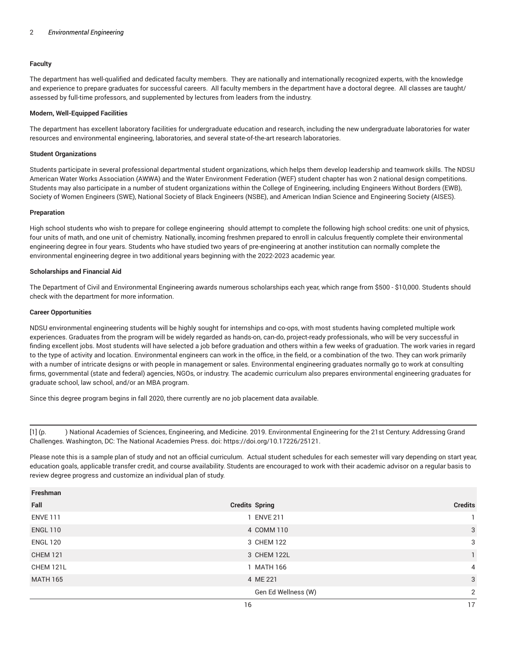# **Faculty**

The department has well-qualified and dedicated faculty members. They are nationally and internationally recognized experts, with the knowledge and experience to prepare graduates for successful careers. All faculty members in the department have a doctoral degree. All classes are taught/ assessed by full-time professors, and supplemented by lectures from leaders from the industry.

### **Modern, Well-Equipped Facilities**

The department has excellent laboratory facilities for undergraduate education and research, including the new undergraduate laboratories for water resources and environmental engineering, laboratories, and several state-of-the-art research laboratories.

#### **Student Organizations**

Students participate in several professional departmental student organizations, which helps them develop leadership and teamwork skills. The NDSU American Water Works Association (AWWA) and the Water Environment Federation (WEF) student chapter has won 2 national design competitions. Students may also participate in a number of student organizations within the College of Engineering, including Engineers Without Borders (EWB), Society of Women Engineers (SWE), National Society of Black Engineers (NSBE), and American Indian Science and Engineering Society (AISES).

#### **Preparation**

High school students who wish to prepare for college engineering should attempt to complete the following high school credits: one unit of physics, four units of math, and one unit of chemistry. Nationally, incoming freshmen prepared to enroll in calculus frequently complete their environmental engineering degree in four years. Students who have studied two years of pre-engineering at another institution can normally complete the environmental engineering degree in two additional years beginning with the 2022-2023 academic year.

#### **Scholarships and Financial Aid**

The Department of Civil and Environmental Engineering awards numerous scholarships each year, which range from \$500 - \$10,000. Students should check with the department for more information.

#### **Career Opportunities**

NDSU environmental engineering students will be highly sought for internships and co-ops, with most students having completed multiple work experiences. Graduates from the program will be widely regarded as hands-on, can-do, project-ready professionals, who will be very successful in finding excellent jobs. Most students will have selected a job before graduation and others within a few weeks of graduation. The work varies in regard to the type of activity and location. Environmental engineers can work in the office, in the field, or a combination of the two. They can work primarily with a number of intricate designs or with people in management or sales. Environmental engineering graduates normally go to work at consulting firms, governmental (state and federal) agencies, NGOs, or industry. The academic curriculum also prepares environmental engineering graduates for graduate school, law school, and/or an MBA program.

Since this degree program begins in fall 2020, there currently are no job placement data available.

[1] (p. ) National Academies of Sciences, Engineering, and Medicine. 2019. Environmental Engineering for the 21st Century: Addressing Grand Challenges. Washington, DC: The National Academies Press. doi: https://doi.org/10.17226/25121.

Please note this is a sample plan of study and not an official curriculum. Actual student schedules for each semester will vary depending on start year, education goals, applicable transfer credit, and course availability. Students are encouraged to work with their academic advisor on a regular basis to review degree progress and customize an individual plan of study.

| Freshman        |                       |                |
|-----------------|-----------------------|----------------|
| Fall            | <b>Credits Spring</b> | <b>Credits</b> |
| <b>ENVE 111</b> | 1 ENVE 211            |                |
| <b>ENGL 110</b> | 4 COMM 110            | 3              |
| <b>ENGL 120</b> | 3 CHEM 122            | 3              |
| <b>CHEM 121</b> | 3 CHEM 122L           |                |
| CHEM 121L       | 1 MATH 166            | 4              |
| <b>MATH 165</b> | 4 ME 221              | 3              |
|                 | Gen Ed Wellness (W)   | 2              |